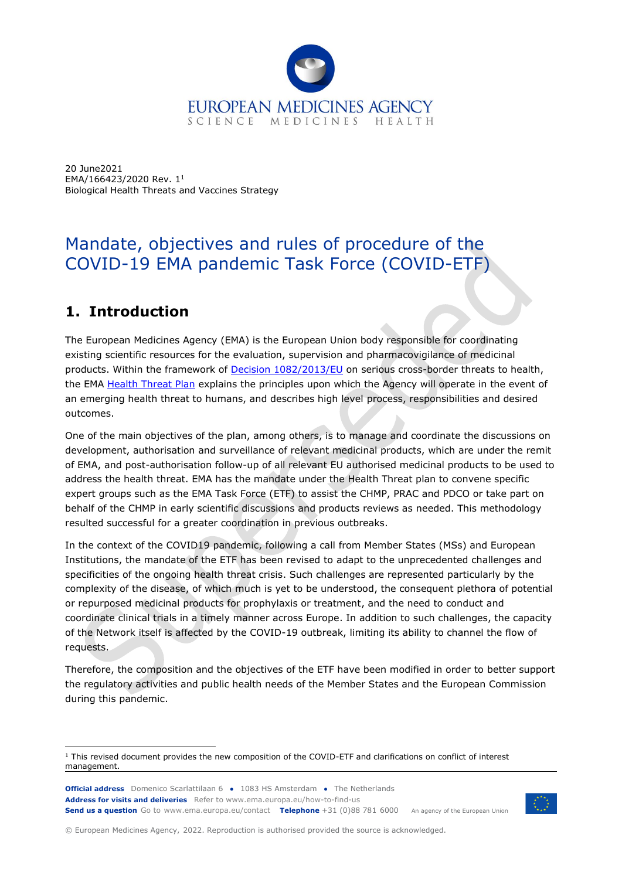

20 June2021 EMA/166423/2020 Rev. 1<sup>1</sup> Biological Health Threats and Vaccines Strategy

# Mandate, objectives and rules of procedure of the COVID-19 EMA pandemic Task Force (COVID-ETF)

# **1. Introduction**

The European Medicines Agency (EMA) is the European Union body responsible for coordinating existing scientific resources for the evaluation, supervision and pharmacovigilance of medicinal products. Within the framework of **Decision 1082/2013/EU** on serious cross-border threats to health, the EMA [Health Threat Plan](https://www.ema.europa.eu/en/documents/other/ema-plan-emerging-health-threats_en.pdf) explains the principles upon which the Agency will operate in the event of an emerging health threat to humans, and describes high level process, responsibilities and desired outcomes.

One of the main objectives of the plan, among others, is to manage and coordinate the discussions on development, authorisation and surveillance of relevant medicinal products, which are under the remit of EMA, and post-authorisation follow-up of all relevant EU authorised medicinal products to be used to address the health threat. EMA has the mandate under the Health Threat plan to convene specific expert groups such as the EMA Task Force (ETF) to assist the CHMP, PRAC and PDCO or take part on behalf of the CHMP in early scientific discussions and products reviews as needed. This methodology resulted successful for a greater coordination in previous outbreaks.

In the context of the COVID19 pandemic, following a call from Member States (MSs) and European Institutions, the mandate of the ETF has been revised to adapt to the unprecedented challenges and specificities of the ongoing health threat crisis. Such challenges are represented particularly by the complexity of the disease, of which much is yet to be understood, the consequent plethora of potential or repurposed medicinal products for prophylaxis or treatment, and the need to conduct and coordinate clinical trials in a timely manner across Europe. In addition to such challenges, the capacity of the Network itself is affected by the COVID-19 outbreak, limiting its ability to channel the flow of requests.

Therefore, the composition and the objectives of the ETF have been modified in order to better support the regulatory activities and public health needs of the Member States and the European Commission during this pandemic.

**Official address** Domenico Scarlattilaan 6 **●** 1083 HS Amsterdam **●** The Netherlands An agency of the European Union **Address for visits and deliveries** Refer to www.ema.europa.eu/how-to-find-us **Send us a question** Go to www.ema.europa.eu/contact **Telephone** +31 (0)88 781 6000

© European Medicines Agency, 2022. Reproduction is authorised provided the source is acknowledged.

<sup>1</sup> This revised document provides the new composition of the COVID-ETF and clarifications on conflict of interest management.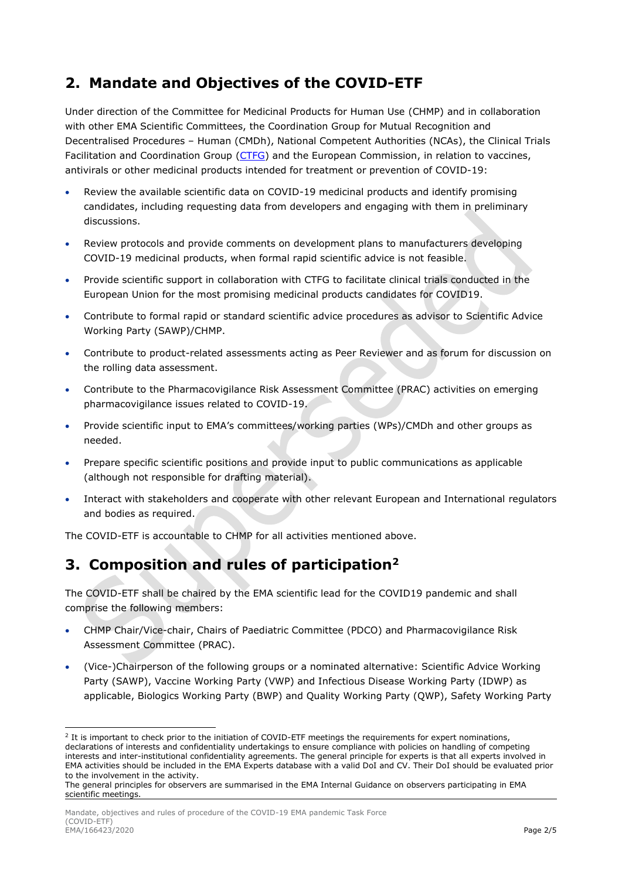### **2. Mandate and Objectives of the COVID-ETF**

Under direction of the Committee for Medicinal Products for Human Use (CHMP) and in collaboration with other EMA Scientific Committees, the Coordination Group for Mutual Recognition and Decentralised Procedures – Human (CMDh), National Competent Authorities (NCAs), the Clinical Trials Facilitation and Coordination Group [\(CTFG\)](https://www.hma.eu/ctfg.html) and the European Commission, in relation to vaccines, antivirals or other medicinal products intended for treatment or prevention of COVID-19:

- Review the available scientific data on COVID-19 medicinal products and identify promising candidates, including requesting data from developers and engaging with them in preliminary discussions.
- Review protocols and provide comments on development plans to manufacturers developing COVID-19 medicinal products, when formal rapid scientific advice is not feasible.
- Provide scientific support in collaboration with CTFG to facilitate clinical trials conducted in the European Union for the most promising medicinal products candidates for COVID19.
- Contribute to formal rapid or standard scientific advice procedures as advisor to Scientific Advice Working Party (SAWP)/CHMP.
- Contribute to product-related assessments acting as Peer Reviewer and as forum for discussion on the rolling data assessment.
- Contribute to the Pharmacovigilance Risk Assessment Committee (PRAC) activities on emerging pharmacovigilance issues related to COVID-19.
- Provide scientific input to EMA's committees/working parties (WPs)/CMDh and other groups as needed.
- Prepare specific scientific positions and provide input to public communications as applicable (although not responsible for drafting material).
- Interact with stakeholders and cooperate with other relevant European and International regulators and bodies as required.

The COVID-ETF is accountable to CHMP for all activities mentioned above.

### **3. Composition and rules of participation<sup>2</sup>**

The COVID-ETF shall be chaired by the EMA scientific lead for the COVID19 pandemic and shall comprise the following members:

- CHMP Chair/Vice-chair, Chairs of Paediatric Committee (PDCO) and Pharmacovigilance Risk Assessment Committee (PRAC).
- (Vice-)Chairperson of the following groups or a nominated alternative: Scientific Advice Working Party (SAWP), Vaccine Working Party (VWP) and Infectious Disease Working Party (IDWP) as applicable, Biologics Working Party (BWP) and Quality Working Party (QWP), Safety Working Party

<sup>&</sup>lt;sup>2</sup> It is important to check prior to the initiation of COVID-ETF meetings the requirements for expert nominations, declarations of interests and confidentiality undertakings to ensure compliance with policies on handling of competing interests and inter-institutional confidentiality agreements. The general principle for experts is that all experts involved in EMA activities should be included in the EMA Experts database with a valid DoI and CV. Their DoI should be evaluated prior to the involvement in the activity.

The general principles for observers are summarised in the EMA Internal Guidance on observers participating in EMA scientific meetings.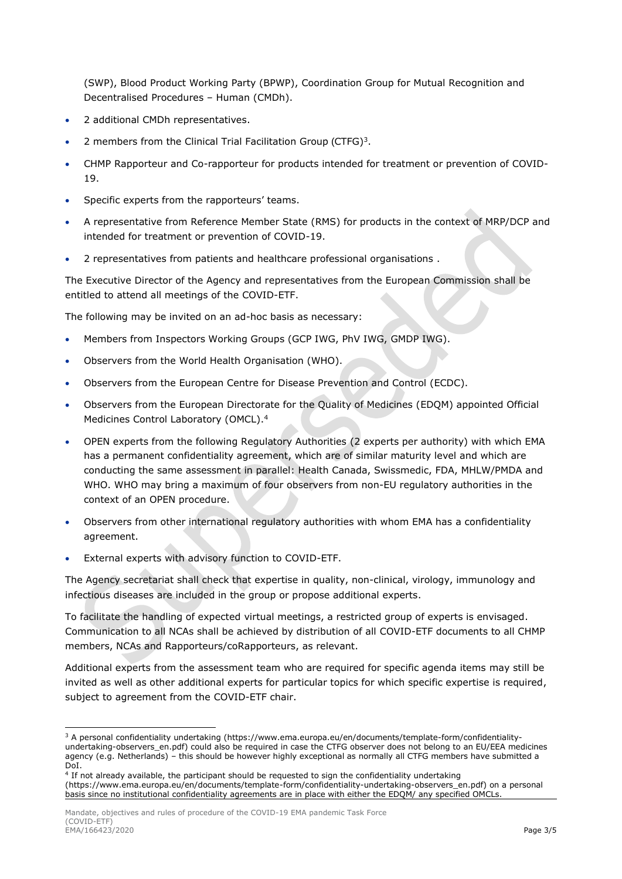(SWP), Blood Product Working Party (BPWP), Coordination Group for Mutual Recognition and Decentralised Procedures – Human (CMDh).

- 2 additional CMDh representatives.
- 2 members from the Clinical Trial Facilitation Group (CTFG)<sup>3</sup>.
- CHMP Rapporteur and Co-rapporteur for products intended for treatment or prevention of COVID-19.
- Specific experts from the rapporteurs' teams.
- A representative from Reference Member State (RMS) for products in the context of MRP/DCP and intended for treatment or prevention of COVID-19.
- 2 representatives from patients and healthcare professional organisations .

The Executive Director of the Agency and representatives from the European Commission shall be entitled to attend all meetings of the COVID-ETF.

The following may be invited on an ad-hoc basis as necessary:

- Members from Inspectors Working Groups (GCP IWG, PhV IWG, GMDP IWG).
- Observers from the World Health Organisation (WHO).
- Observers from the European Centre for Disease Prevention and Control (ECDC).
- Observers from the European Directorate for the Quality of Medicines (EDQM) appointed Official Medicines Control Laboratory (OMCL). 4
- OPEN experts from the following Regulatory Authorities (2 experts per authority) with which EMA has a permanent confidentiality agreement, which are of similar maturity level and which are conducting the same assessment in parallel: Health Canada, Swissmedic, FDA, MHLW/PMDA and WHO. WHO may bring a maximum of four observers from non-EU regulatory authorities in the context of an OPEN procedure.
- Observers from other international regulatory authorities with whom EMA has a confidentiality agreement.
- External experts with advisory function to COVID-ETF.

The Agency secretariat shall check that expertise in quality, non-clinical, virology, immunology and infectious diseases are included in the group or propose additional experts.

To facilitate the handling of expected virtual meetings, a restricted group of experts is envisaged. Communication to all NCAs shall be achieved by distribution of all COVID-ETF documents to all CHMP members, NCAs and Rapporteurs/coRapporteurs, as relevant.

Additional experts from the assessment team who are required for specific agenda items may still be invited as well as other additional experts for particular topics for which specific expertise is required, subject to agreement from the COVID-ETF chair.

<sup>&</sup>lt;sup>3</sup> A personal confidentiality undertaking (https://www.ema.europa.eu/en/documents/template-form/confidentialityundertaking-observers\_en.pdf) could also be required in case the CTFG observer does not belong to an EU/EEA medicines agency (e.g. Netherlands) – this should be however highly exceptional as normally all CTFG members have submitted a DoI.

<sup>4</sup> If not already available, the participant should be requested to sign the confidentiality undertaking

<sup>(</sup>https://www.ema.europa.eu/en/documents/template-form/confidentiality-undertaking-observers\_en.pdf) on a personal basis since no institutional confidentiality agreements are in place with either the EDQM/ any specified OMCLs.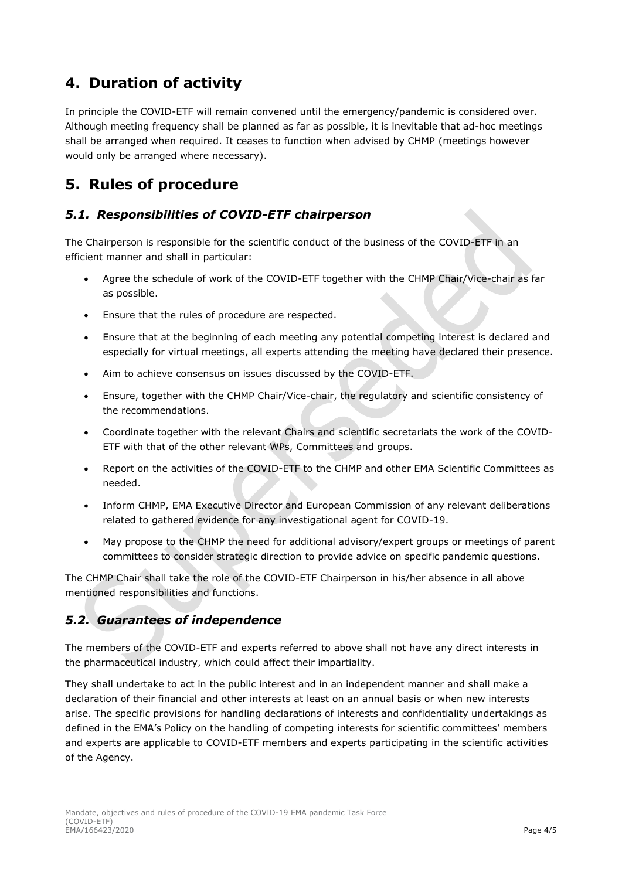# **4. Duration of activity**

In principle the COVID-ETF will remain convened until the emergency/pandemic is considered over. Although meeting frequency shall be planned as far as possible, it is inevitable that ad-hoc meetings shall be arranged when required. It ceases to function when advised by CHMP (meetings however would only be arranged where necessary).

# **5. Rules of procedure**

#### *5.1. Responsibilities of COVID-ETF chairperson*

The Chairperson is responsible for the scientific conduct of the business of the COVID-ETF in an efficient manner and shall in particular:

- Agree the schedule of work of the COVID-ETF together with the CHMP Chair/Vice-chair as far as possible.
- Ensure that the rules of procedure are respected.
- Ensure that at the beginning of each meeting any potential competing interest is declared and especially for virtual meetings, all experts attending the meeting have declared their presence.
- Aim to achieve consensus on issues discussed by the COVID-ETF.
- Ensure, together with the CHMP Chair/Vice-chair, the regulatory and scientific consistency of the recommendations.
- Coordinate together with the relevant Chairs and scientific secretariats the work of the COVID-ETF with that of the other relevant WPs, Committees and groups.
- Report on the activities of the COVID-ETF to the CHMP and other EMA Scientific Committees as needed.
- Inform CHMP, EMA Executive Director and European Commission of any relevant deliberations related to gathered evidence for any investigational agent for COVID-19.
- May propose to the CHMP the need for additional advisory/expert groups or meetings of parent committees to consider strategic direction to provide advice on specific pandemic questions.

The CHMP Chair shall take the role of the COVID-ETF Chairperson in his/her absence in all above mentioned responsibilities and functions.

#### *5.2. Guarantees of independence*

The members of the COVID-ETF and experts referred to above shall not have any direct interests in the pharmaceutical industry, which could affect their impartiality.

They shall undertake to act in the public interest and in an independent manner and shall make a declaration of their financial and other interests at least on an annual basis or when new interests arise. The specific provisions for handling declarations of interests and confidentiality undertakings as defined in the EMA's Policy on the handling of competing interests for scientific committees' members and experts are applicable to COVID-ETF members and experts participating in the scientific activities of the Agency.